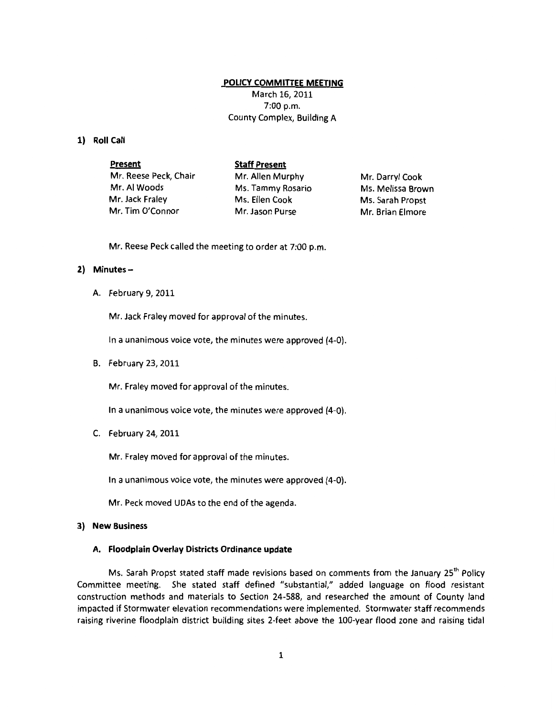# **POLICY COMMITTEE MEETING**

March 16, 2011 7:00 p.m. County Complex, Building A

## **1) Roll Call**

**Present**  Mr. Reese Peck, Chair Mr. AI Woods Mr. Jack Fraley Mr. Tim O'Connor **Staff Present**  Mr. Allen Murphy Ms. Tammy Rosario Ms. Ellen Cook Mr. Jason Purse Mr. Darryl Cook Ms. Melissa Brown Ms. Sarah Propst Mr. Brian Elmore

Mr. Reese Peck called the meeting to order at 7:00 p.m.

# **2) Minutes-**

A. February 9, 2011

Mr. Jack Fraley moved for approval of the minutes.

In a unanimous voice vote, the minutes were approved {4-0).

B. February 23, 2011

Mr. Fraley moved for approval of the minutes.

In a unanimous voice vote, the minutes were approved (4-0).

C. February 24, 2011

Mr. Fraley moved for approval of the minutes.

In a unanimous voice vote, the minutes were approved {4-0).

Mr. Peck moved UDAs to the end of the agenda.

## **3) New Business**

### **A. Floodplain Overlay Districts Ordinance update**

Ms. Sarah Propst stated staff made revisions based on comments from the January 25<sup>th</sup> Policy Committee meeting. She stated staff defined "substantial," added language on flood resistant construction methods and materials to Section 24-588, and researched the amount of County land impacted if Stormwater elevation recommendations were implemented. Stormwater staff recommends raising riverine floodplain district building sites 2-feet above the 100-year flood zone and raising tidal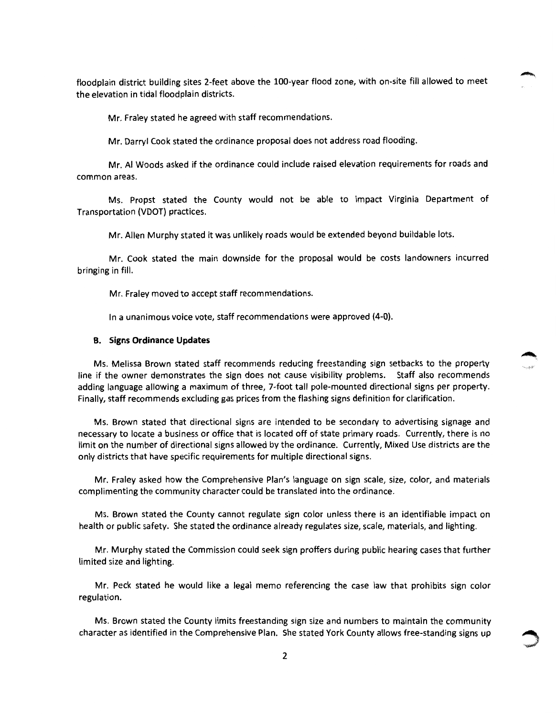floodplain district building sites 2-feet above the 100-year flood zone, with on-site fill allowed to meet the elevation in tidal floodplain districts.

Mr. Fraley stated he agreed with staff recommendations.

Mr. Darryl Cook stated the ordinance proposal does not address road flooding.

Mr. AI Woods asked if the ordinance could include raised elevation requirements for roads and common areas.

Ms. Propst stated the County would not be able to impact Virginia Department of Transportation (VDOT) practices.

Mr. Allen Murphy stated it was unlikely roads would be extended beyond buildable lots.

Mr. Cook stated the main downside for the proposal would be costs landowners incurred bringing in fill.

Mr. Fraley moved to accept staff recommendations.

In a unanimous voice vote, staff recommendations were approved {4-0).

## **B. Signs Ordinance Updates**

Ms. Melissa Brown stated staff recommends reducing freestanding sign setbacks to the property line if the owner demonstrates the sign does not cause visibility problems. Staff also recommends adding language allowing a maximum of three, 7-foot tall pole-mounted directional signs per property. Finally, staff recommends excluding gas prices from the flashing signs definition for clarification.

Ms. Brown stated that directional signs are intended to be secondary to advertising signage and necessary to locate a business or office that is located off of state primary roads. Currently, there is no limit on the number of directional signs allowed by the ordinance. Currently, Mixed Use districts are the only districts that have specific requirements for multiple directional signs.

Mr. Fraley asked how the Comprehensive Plan's language on sign scale, size, color, and materials complimenting the community character could be translated into the ordinance.

Ms. Brown stated the County cannot regulate sign color unless there is an identifiable impact on health or public safety. She stated the ordinance already regulates size, scale, materials, and lighting.

Mr. Murphy stated the Commission could seek sign proffers during public hearing cases that further limited size and lighting.

Mr. Peck stated he would like a legal memo referencing the case law that prohibits sign color regulation.

Ms. Brown stated the County limits freestanding sign size and numbers to maintain the community character as identified in the Comprehensive Plan. She stated York County allows free-standing signs up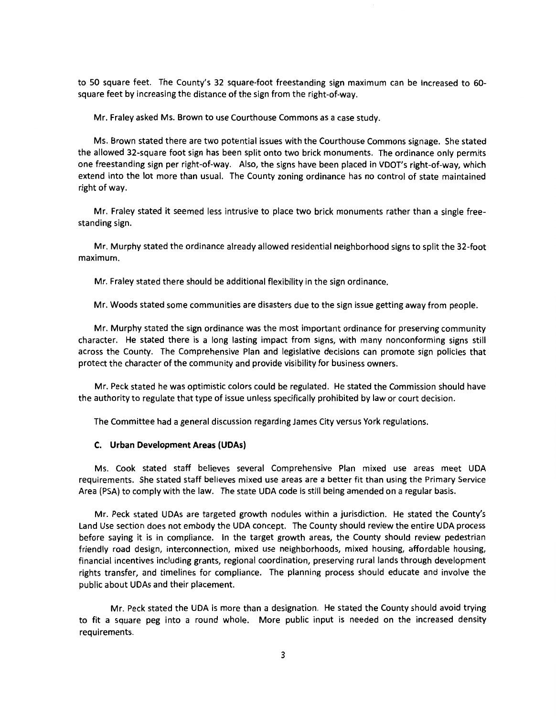to 50 square feet. The County's 32 square-foot freestanding sign maximum can be increased to GOsquare feet by increasing the distance of the sign from the right-of-way.

Mr. Fraley asked Ms. Brown to use Courthouse Commons as a case study.

Ms. Brown stated there are two potential issues with the Courthouse Commons signage. She stated the allowed 32-square foot sign has been split onto two brick monuments. The ordinance only permits one freestanding sign per right-of-way. Also, the signs have been placed in VDOT's right-of-way, which extend into the lot more than usual. The County zoning ordinance has no control of state maintained right of way.

Mr. Fraley stated it seemed less intrusive to place two brick monuments rather than a single freestanding sign.

Mr. Murphy stated the ordinance already allowed residential neighborhood signs to split the 32-foot maximum.

Mr. Fraley stated there should be additional flexibility in the sign ordinance.

Mr. Woods stated some communities are disasters due to the sign issue getting away from people.

Mr. Murphy stated the sign ordinance was the most important ordinance for preserving community character. He stated there is a long lasting impact from signs, with many nonconforming signs still across the County. The Comprehensive Plan and legislative decisions can promote sign policies that protect the character of the community and provide visibility for business owners.

Mr. Peck stated he was optimistic colors could be regulated. He stated the Commission should have the authority to regulate that type of issue unless specifically prohibited by law or court decision.

The Committee had a general discussion regarding James City versus York regulations.

#### **C. Urban Development Areas (UDAs)**

Ms. Cook stated staff believes several Comprehensive Plan mixed use areas meet UDA requirements. She stated staff believes mixed use areas are a better fit than using the Primary Service Area (PSA) to comply with the law. The state UDA code is still being amended on a regular basis.

Mr. Peck stated UDAs are targeted growth nodules within a jurisdiction. He stated the County's Land Use section does not embody the UDA concept. The County should review the entire UDA process before saying it is in compliance. In the target growth areas, the County should review pedestrian friendly road design, interconnection, mixed use neighborhoods, mixed housing, affordable housing, financial incentives including grants, regional coordination, preserving rural lands through development rights transfer, and timelines for compliance. The planning process should educate and involve the public about UDAs and their placement.

Mr. Peck stated the UDA is more than a designation. He stated the County should avoid trying to fit a square peg into a round whole. More public input is needed on the increased density requirements.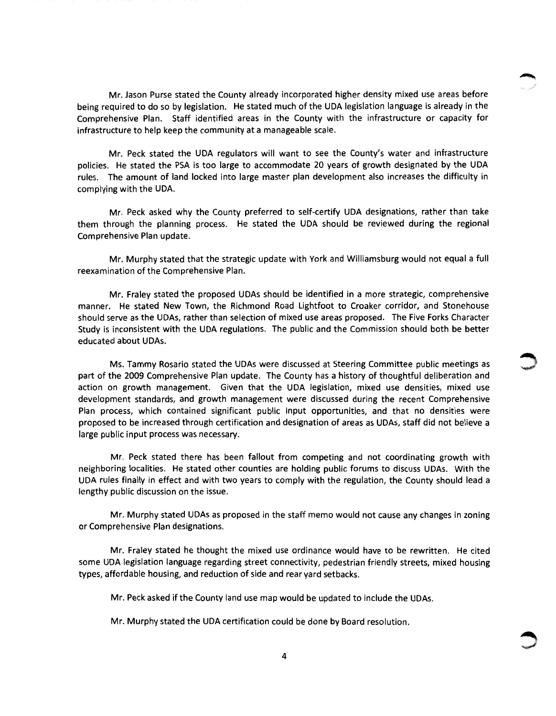Mr. Jason Purse stated the County already incorporated higher density mixed use areas before being required to do so by legislation. He stated much of the UDA legislation language is already in the Comprehensive Plan. Staff identified areas in the County with the infrastructure or capacity for infrastructure to help keep the community at a manageable scale.

Mr. Peck stated the UDA regulators will want to see the County's water and infrastructure policies. He stated the PSA is too large to accommodate 20 years of growth designated by the UDA rules. The amount of land locked into large master plan development also increases the difficulty in complying with the UDA.

Mr. Peck asked why the County preferred to self-certify UDA designations, rather than take them through the planning process. He stated the UDA should be reviewed during the regional Comprehensive Plan update.

Mr. Murphy stated that the strategic update with York and Williamsburg would not equal a full reexamination of the Comprehensive Plan.

Mr. Fraley stated the proposed UDAs should be identified in a more strategic, comprehensive manner. He stated New Town, the Richmond Road Lightfoot to Croaker corridor, and Stonehouse should serve as the UDAs, rather than selection of mixed use areas proposed. The Five Forks Character Study is inconsistent with the UDA regulations. The public and the Commission should both be better educated about UDAs.

Ms. Tammy Rosario stated the UDAs were discussed at Steering Committee public meetings as part of the 2009 Comprehensive Plan update. The County has a history of thoughtful deliberation and action on growth management. Given that the UDA legislation, mixed use densities, mixed use development standards, and growth management were discussed during the recent Comprehensive Plan process, which contained significant public input opportunities, and that no densities were proposed to be increased through certification and designation of areas as UDAs, staff did not believe a large public input process was necessary.

Mr. Peck stated there has been fallout from competing and not coordinating growth with neighboring localities. He stated other counties are holding public forums to discuss UDAs. With the UDA rules finally in effect and with two years to comply with the regulation, the County should lead a lengthy public discussion on the issue.

Mr. Murphy stated UDAs as proposed in the staff memo would not cause any changes in zoning or Comprehensive Plan designations.

Mr. Fraley stated he thought the mixed use ordinance would have to be rewritten. He cited some UDA legislation language regarding street connectivity, pedestrian friendly streets, mixed housing types, affordable housing, and reduction of side and rear yard setbacks.

Mr. Peck asked if the County land use map would be updated to include the UDAs.

Mr. Murphy stated the UDA certification could be done by Board resolution.